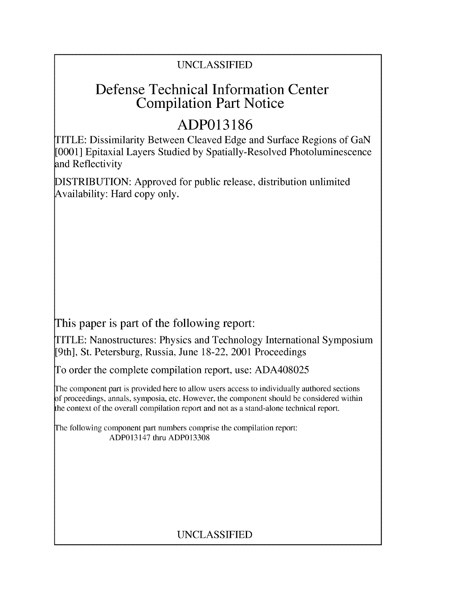## UNCLASSIFIED

## **Defense Technical Information Center Compilation Part Notice**

# **ADP013186**

TITLE: Dissimilarity Between Cleaved Edge and Surface Regions of GaN [0001] Epitaxial Layers Studied by Spatially-Resolved Photoluminescence and Reflectivity

DISTRIBUTION: Approved for public release, distribution unlimited Availability: Hard copy only.

This paper is part of the following report:

TITLE: Nanostructures: Physics and Technology International Symposium [9th], St. Petersburg, Russia, June 18-22, 2001 Proceedings

To order the complete compilation report, use: ADA408025

The component part is provided here to allow users access to individually authored sections f proceedings, annals, symposia, etc. However, the component should be considered within the context of the overall compilation report and not as a stand-alone technical report.

The following component part numbers comprise the compilation report: ADP013147 thru ADP013308

## UNCLASSIFIED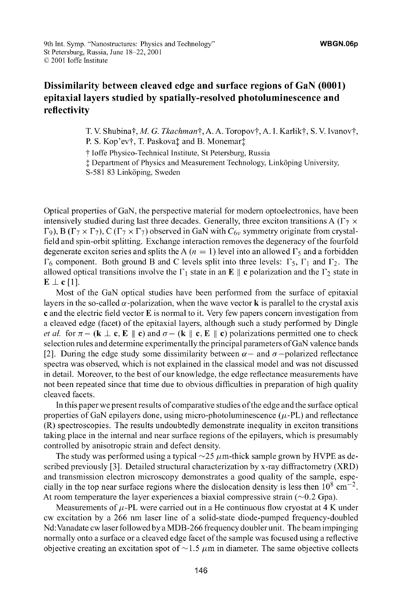### **Dissimilarity between cleaved edge and surface regions of GaN (0001) epitaxial layers studied by spatially-resolved photoluminescence and reflectivity**

T. V. Shubina†, *M. G. Tkachman*†, A. A. Toropov†, A. I. Karlik†, S. V. Ivanov†, P. S. Kop'ev†, T. Paskova‡ and B. Monemar<sup>†</sup>

t loffe Physico-Technical Institute, St Petersburg, Russia

**I** Department of Physics and Measurement Technology, Link6ping University,

S-581 83 Linköping, Sweden

Optical properties of GaN, the perspective material for modern optoelectronics, have been intensively studied during last three decades. Generally, three exciton transitions A  $(\Gamma_7 \times$  $\Gamma_9$ ), B ( $\Gamma_7 \times \Gamma_7$ ), C ( $\Gamma_7 \times \Gamma_7$ ) observed in GaN with  $C_{6\nu}$  symmetry originate from crystalfield and spin-orbit splitting. Exchange interaction removes the degeneracy of the fourfold degenerate exciton series and splits the A  $(n = 1)$  level into an allowed  $\Gamma_5$  and a forbidden  $\Gamma_6$  component. Both ground B and C levels split into three levels:  $\Gamma_5$ ,  $\Gamma_1$  and  $\Gamma_2$ . The allowed optical transitions involve the  $\Gamma_1$  state in an E  $\parallel$  c polarization and the  $\Gamma_2$  state in  $E \perp c$  [1].

Most of the GaN optical studies have been performed from the surface of epitaxial layers in the so-called  $\alpha$ -polarization, when the wave vector **k** is parallel to the crystal axis c and the electric field vector E is normal to it. Very few papers concern investigation from a cleaved edge (facet) of the epitaxial layers, although such a study performed by Dingle *et al.* for  $\pi$  – (k  $\perp$  c, **E**  $\parallel$  c) and  $\sigma$  – (k  $\parallel$  c, **E**  $\parallel$  c) polarizations permitted one to check selection rules and determine experimentally the principal parameters of GaN valence bands [2]. During the edge study some dissimilarity between  $\alpha$  – and  $\sigma$  –polarized reflectance spectra was observed, which is not explained in the classical model and was not discussed in detail. Moreover, to the best of our knowledge, the edge reflectance measurements have not been repeated since that time due to obvious difficulties in preparation of high quality cleaved facets.

In this paper we present results of comparative studies of the edge and the surface optical properties of GaN epilayers done, using micro-photoluminescence  $(\mu$ -PL) and reflectance (R) spectroscopies. The results undoubtedly demonstrate inequality in exciton transitions taking place in the internal and near surface regions of the epilayers, which is presumably controlled by anisotropic strain and defect density.

The study was performed using a typical  $\sim$ 25  $\mu$ m-thick sample grown by HVPE as described previously [3]. Detailed structural characterization by x-ray diffractometry (XRD) and transmission electron microscopy demonstrates a good quality of the sample, especially in the top near surface regions where the dislocation density is less then  $10^8 \text{ cm}^{-2}$ . At room temperature the layer experiences a biaxial compressive strain  $(\sim 0.2 \text{ Gpa})$ .

Measurements of  $\mu$ -PL were carried out in a He continuous flow cryostat at 4 K under cw excitation by a 266 nm laser line of a solid-state diode-pumped frequency-doubled Nd:Vanadate cw laser followed by a MDB-266 frequency doubler unit. The beam impinging normally onto a surface or a cleaved edge facet of the sample was focused using a reflective objective creating an excitation spot of  $\sim$  1.5  $\mu$ m in diameter. The same objective collects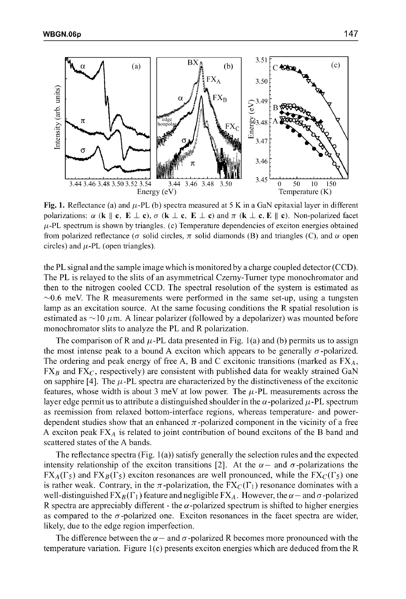

Fig. 1. Reflectance (a) and  $\mu$ -PL (b) spectra measured at 5 K in a GaN epitaxial layer in different polarizations:  $\alpha$  (k || c,  $\mathbf{E} \perp \mathbf{c}$ ),  $\sigma$  (k  $\perp \mathbf{c}$ ,  $\mathbf{E} \perp \mathbf{c}$ ) and  $\pi$  (k  $\perp \mathbf{c}$ ,  $\mathbf{E} \parallel \mathbf{c}$ ). Non-polarized facet  $\mu$ -PL spectrum is shown by triangles. (c) Temperature dependencies of exciton energies obtained from polarized reflectance ( $\sigma$  solid circles,  $\pi$  solid diamonds (B) and triangles (C), and  $\alpha$  open circles) and  $\mu$ -PL (open triangles).

the PL signal and the sample image which is monitored by a charge coupled detector (CCD). The PL is relayed to the slits of an asymmetrical Czemy-Turner type monochromator and then to the nitrogen cooled CCD. The spectral resolution of the system is estimated as  $\sim$ 0.6 meV. The R measurements were performed in the same set-up, using a tungsten lamp as an excitation source. At the same focusing conditions the R spatial resolution is estimated as  $\sim$ 10  $\mu$ m. A linear polarizer (followed by a depolarizer) was mounted before monochromator slits to analyze the PL and R polarization.

The comparison of R and  $\mu$ -PL data presented in Fig. 1(a) and (b) permits us to assign the most intense peak to a bound A exciton which appears to be generally  $\sigma$ -polarized. The ordering and peak energy of free A, B and C excitonic transitions (marked as  $FX_A$ ,  $FX_B$  and  $FX_C$ , respectively) are consistent with published data for weakly strained GaN on sapphire  $[4]$ . The  $\mu$ -PL spectra are characterized by the distinctiveness of the excitonic features, whose width is about 3 meV at low power. The  $\mu$ -PL measurements across the layer edge permit us to attribute a distinguished shoulder in the  $\alpha$ -polarized  $\mu$ -PL spectrum as reemission from relaxed bottom-interface regions, whereas temperature- and powerdependent studies show that an enhanced  $\pi$ -polarized component in the vicinity of a free A exciton peak *FXA* is related to joint contribution of bound excitons of the B band and scattered states of the A bands.

The reflectance spectra (Fig. 1(a)) satisfy generally the selection rules and the expected intensity relationship of the exciton transitions [2]. At the  $\alpha$  - and  $\sigma$ -polarizations the  $FX_A(\Gamma_5)$  and  $FX_B(\Gamma_5)$  exciton resonances are well pronounced, while the  $FX_C(\Gamma_5)$  one is rather weak. Contrary, in the  $\pi$ -polarization, the  $FX_C(\Gamma_1)$  resonance dominates with a well-distinguished  $FX_B(\Gamma_1)$  feature and negligible  $FX_A$ . However, the  $\alpha$  - and  $\sigma$ -polarized R spectra are appreciably different - the  $\alpha$ -polarized spectrum is shifted to higher energies as compared to the *cr* -polarized one. Exciton resonances in the facet spectra are wider, likely, due to the edge region imperfection.

The difference between the  $\alpha$  - and  $\sigma$ -polarized R becomes more pronounced with the temperature variation. Figure  $1(c)$  presents exciton energies which are deduced from the R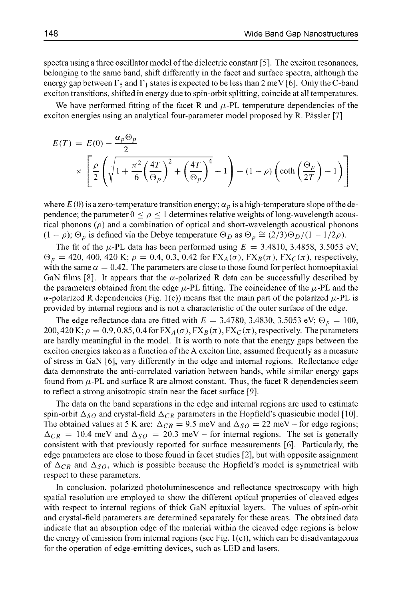spectra using a three oscillator model of the dielectric constant [5]. The exciton resonances, belonging to the same band, shift differently in the facet and surface spectra, although the energy gap between  $\Gamma_5$  and  $\Gamma_1$  states is expected to be less than 2 meV [6]. Only the C-band exciton transitions, shifted in energy due to spin-orbit splitting, coincide at all temperatures.

We have performed fitting of the facet R and  $\mu$ -PL temperature dependencies of the exciton energies using an analytical four-parameter model proposed by R. Pässler [7]

$$
E(T) = E(0) - \frac{\alpha_p \Theta_p}{2}
$$
  
 
$$
\times \left[ \frac{\rho}{2} \left( \sqrt[4]{1 + \frac{\pi^2}{6} \left( \frac{4T}{\Theta_p} \right)^2 + \left( \frac{4T}{\Theta_p} \right)^4} - 1 \right) + (1 - \rho) \left( \coth \left( \frac{\Theta_p}{2T} \right) - 1 \right) \right]
$$

where  $E(0)$  is a zero-temperature transition energy;  $\alpha_p$  is a high-temperature slope of the dependence; the parameter  $0 \leq \rho \leq 1$  determines relative weights of long-wavelength acoustical phonons  $(\rho)$  and a combination of optical and short-wavelength acoustical phonons  $(1 - \rho)$ ;  $\Theta_p$  is defined via the Debye temperature  $\Theta_D$  as  $\Theta_p \cong (2/3)\Theta_D/(1 - 1/2\rho)$ .

The fit of the  $\mu$ -PL data has been performed using  $E = 3.4810, 3.4858, 3.5053$  eV;  $\Theta_p = 420, 400, 420 \text{ K}; \rho = 0.4, 0.3, 0.42 \text{ for } FX_A(\sigma), FX_B(\pi), FX_C(\pi), respectively,$ with the same  $\alpha = 0.42$ . The parameters are close to those found for perfect homoepitaxial GaN films [8]. It appears that the  $\alpha$ -polarized R data can be successfully described by the parameters obtained from the edge  $\mu$ -PL fitting. The coincidence of the  $\mu$ -PL and the  $\alpha$ -polarized R dependencies (Fig. 1(c)) means that the main part of the polarized  $\mu$ -PL is provided by internal regions and is not a characteristic of the outer surface of the edge.

The edge reflectance data are fitted with  $E = 3.4780, 3.4830, 3.5053$  eV;  $\Theta_p = 100$ , 200,420 K;  $\rho = 0.9, 0.85, 0.4$  for  $FX_A(\sigma)$ ,  $FX_B(\pi)$ ,  $FX_C(\pi)$ , respectively. The parameters are hardly meaningful in the model. It is worth to note that the energy gaps between the exciton energies taken as a function of the A exciton line, assumed frequently as a measure of stress in GaN [6], vary differently in the edge and internal regions. Reflectance edge data demonstrate the anti-correlated variation between bands, while similar energy gaps found from  $\mu$ -PL and surface R are almost constant. Thus, the facet R dependencies seem to reflect a strong anisotropic strain near the facet surface **[9].**

The data on the band separations in the edge and internal regions are used to estimate spin-orbit  $\Delta_{SO}$  and crystal-field  $\Delta_{CR}$  parameters in the Hopfield's quasicubic model [10]. The obtained values at 5 K are:  $\Delta_{CR} = 9.5$  meV and  $\Delta_{SO} = 22$  meV – for edge regions;  $\Delta_{CR}$  = 10.4 meV and  $\Delta_{SO}$  = 20.3 meV – for internal regions. The set is generally consistent with that previously reported for surface measurements [6]. Particularly, the edge parameters are close to those found in facet studies [2], but with opposite assignment of  $\Delta_{CR}$  and  $\Delta_{SO}$ , which is possible because the Hopfield's model is symmetrical with respect to these parameters.

In conclusion, polarized photoluminescence and reflectance spectroscopy with high spatial resolution are employed to show the different optical properties of cleaved edges with respect to internal regions of thick GaN epitaxial layers. The values of spin-orbit and crystal-field parameters are determined separately for these areas. The obtained data indicate that an absorption edge of the material within the cleaved edge regions is below the energy of emission from internal regions (see Fig.  $1(c)$ ), which can be disadvantageous for the operation of edge-emitting devices, such as LED and lasers.